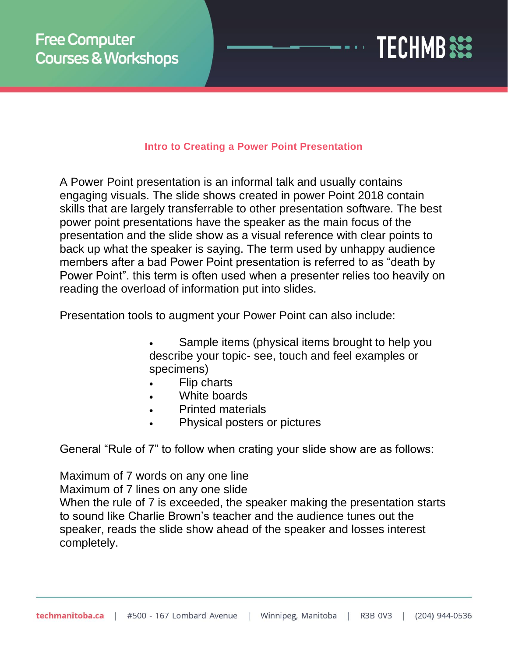

#### **Intro to Creating a Power Point Presentation**

A Power Point presentation is an informal talk and usually contains engaging visuals. The slide shows created in power Point 2018 contain skills that are largely transferrable to other presentation software. The best power point presentations have the speaker as the main focus of the presentation and the slide show as a visual reference with clear points to back up what the speaker is saying. The term used by unhappy audience members after a bad Power Point presentation is referred to as "death by Power Point". this term is often used when a presenter relies too heavily on reading the overload of information put into slides.

Presentation tools to augment your Power Point can also include:

- Sample items (physical items brought to help you describe your topic- see, touch and feel examples or specimens)
- Flip charts
- White boards
- Printed materials
- Physical posters or pictures

General "Rule of 7" to follow when crating your slide show are as follows:

Maximum of 7 words on any one line Maximum of 7 lines on any one slide

When the rule of 7 is exceeded, the speaker making the presentation starts to sound like Charlie Brown's teacher and the audience tunes out the speaker, reads the slide show ahead of the speaker and losses interest completely.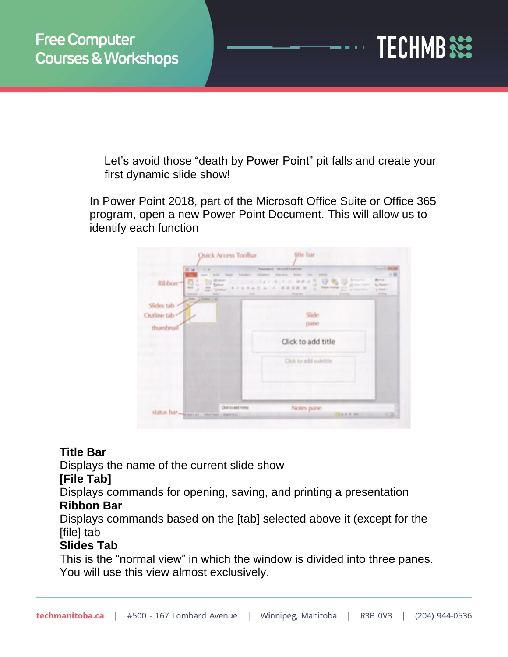

Let's avoid those "death by Power Point" pit falls and create your first dynamic slide show!

In Power Point 2018, part of the Microsoft Office Suite or Office 365 program, open a new Power Point Document. This will allow us to identify each function

| <b>Big Himming</b> | <b>State of Con-</b><br><b>Windows</b>                                                                                                                  | all industrial framely are<br>Stop More. Secure              | $-10$                                |
|--------------------|---------------------------------------------------------------------------------------------------------------------------------------------------------|--------------------------------------------------------------|--------------------------------------|
| Ribbon-            | $\overline{\phantom{a}}$                                                                                                                                | ₩<br>$8.7$ X 3 m ft n = 3 = 8 8 8 8 8<br><b>Page</b> in<br>÷ | <b>Buhra</b><br><b>C.</b> Research 1 |
|                    | <b>Mit Timese</b><br><b>High</b><br>$\frac{1}{2} \left( \frac{1}{2} \right) \left( \frac{1}{2} \right) \left( \frac{1}{2} \right)$<br><b>Literature</b> | Scott of Charles<br><b>Christian Institute</b>               | ia tanah r<br><b>SHOW</b>            |
| Slides tab         |                                                                                                                                                         |                                                              |                                      |
| Outline tab        |                                                                                                                                                         | Slide:                                                       |                                      |
| thumbnai           |                                                                                                                                                         | pane                                                         |                                      |
|                    |                                                                                                                                                         | Click to add title                                           |                                      |
|                    |                                                                                                                                                         | Click to add subtitle.                                       |                                      |
|                    |                                                                                                                                                         |                                                              |                                      |

### **Title Bar**

Displays the name of the current slide show

#### **[File Tab]**

Displays commands for opening, saving, and printing a presentation **Ribbon Bar**

Displays commands based on the [tab] selected above it (except for the [file] tab

### **Slides Tab**

This is the "normal view" in which the window is divided into three panes. You will use this view almost exclusively.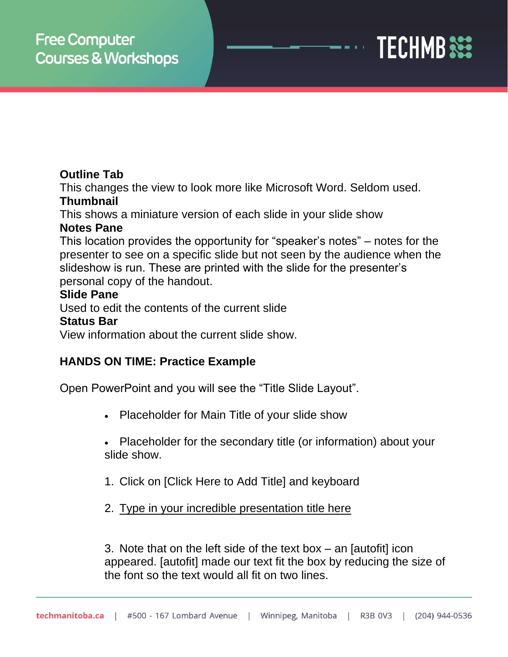

### **Outline Tab**

This changes the view to look more like Microsoft Word. Seldom used. **Thumbnail**

This shows a miniature version of each slide in your slide show

### **Notes Pane**

This location provides the opportunity for "speaker's notes" – notes for the presenter to see on a specific slide but not seen by the audience when the slideshow is run. These are printed with the slide for the presenter's personal copy of the handout.

### **Slide Pane**

Used to edit the contents of the current slide

### **Status Bar**

View information about the current slide show.

### **HANDS ON TIME: Practice Example**

Open PowerPoint and you will see the "Title Slide Layout".

- Placeholder for Main Title of your slide show
- Placeholder for the secondary title (or information) about your slide show.
- 1. Click on [Click Here to Add Title] and keyboard
- 2. Type in your incredible presentation title here

3. Note that on the left side of the text box – an [autofit] icon appeared. [autofit] made our text fit the box by reducing the size of the font so the text would all fit on two lines.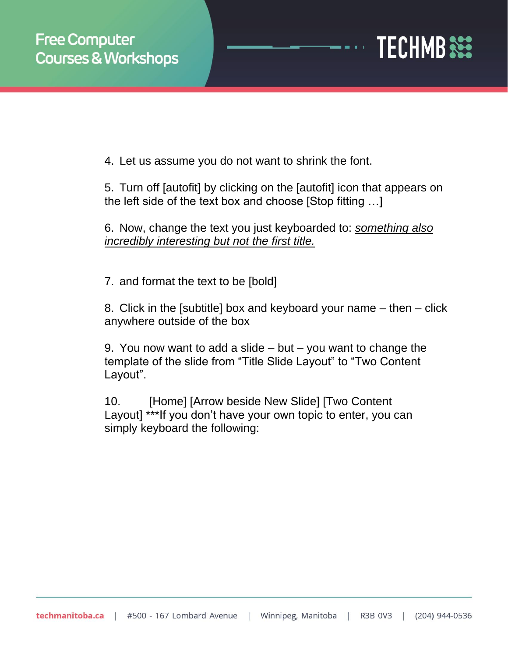

4. Let us assume you do not want to shrink the font.

5. Turn off [autofit] by clicking on the [autofit] icon that appears on the left side of the text box and choose [Stop fitting …]

6. Now, change the text you just keyboarded to: *something also incredibly interesting but not the first title.*

7. and format the text to be [bold]

8. Click in the [subtitle] box and keyboard your name – then – click anywhere outside of the box

9. You now want to add a slide  $-$  but  $-$  you want to change the template of the slide from "Title Slide Layout" to "Two Content Layout".

10. [Home] [Arrow beside New Slide] [Two Content Layout] \*\*\*If you don't have your own topic to enter, you can simply keyboard the following: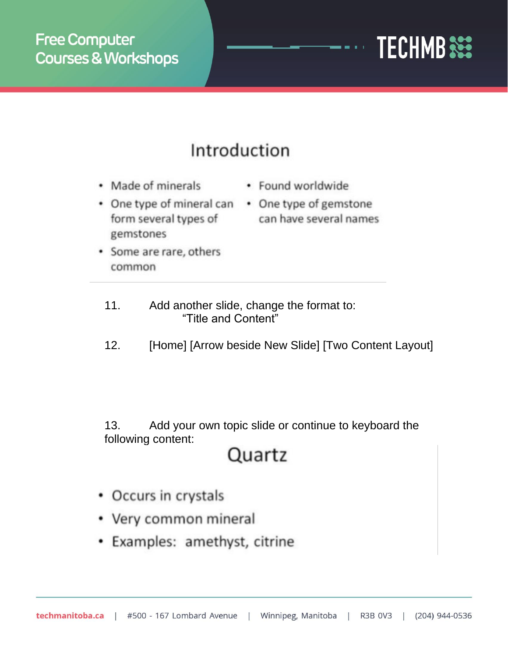# **TECHMB SEE**

## Introduction

- Made of minerals
- One type of mineral can One type of gemstone form several types of gemstones
- Some are rare, others common
- Found worldwide
- can have several names

- 11. Add another slide, change the format to: "Title and Content"
- 12. [Home] [Arrow beside New Slide] [Two Content Layout]

13. Add your own topic slide or continue to keyboard the following content:

### Quartz

- Occurs in crystals
- Very common mineral
- Examples: amethyst, citrine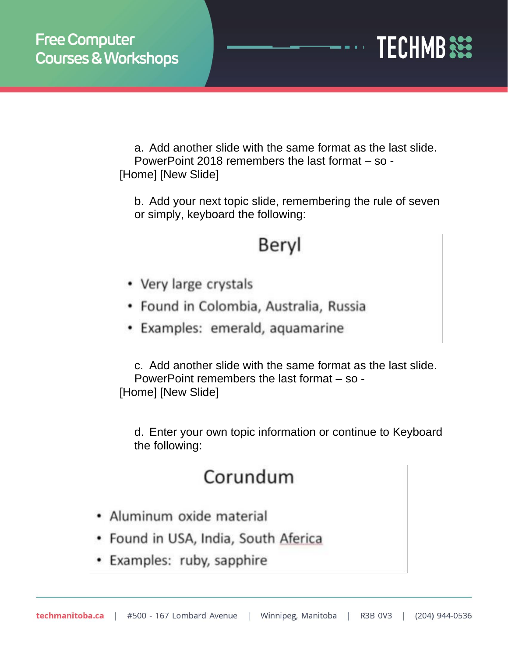

a. Add another slide with the same format as the last slide. PowerPoint 2018 remembers the last format – so - [Home] [New Slide]

b. Add your next topic slide, remembering the rule of seven or simply, keyboard the following:

### Beryl

- Very large crystals
- Found in Colombia, Australia, Russia
- Examples: emerald, aquamarine

c. Add another slide with the same format as the last slide. PowerPoint remembers the last format – so - [Home] [New Slide]

d. Enter your own topic information or continue to Keyboard the following:

## Corundum

- · Aluminum oxide material
- Found in USA, India, South Aferica
- Examples: ruby, sapphire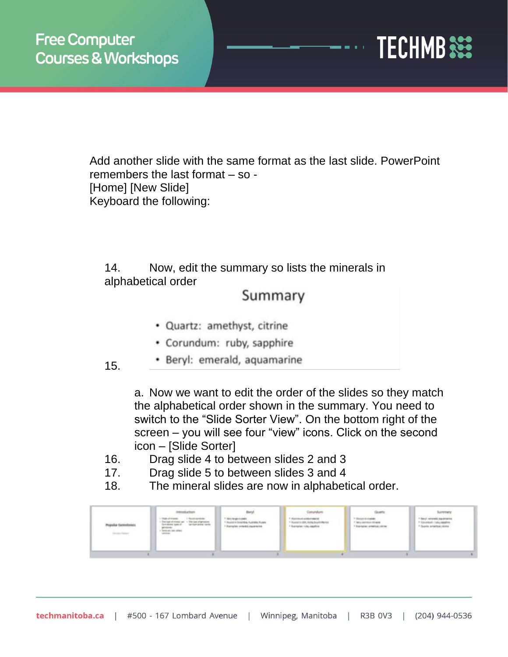

Add another slide with the same format as the last slide. PowerPoint remembers the last format – so - [Home] [New Slide] Keyboard the following:

14. Now, edit the summary so lists the minerals in alphabetical order

### Summary

- · Quartz: amethyst, citrine
- Corundum: ruby, sapphire
- · Beryl: emerald, aquamarine
- 15.

a. Now we want to edit the order of the slides so they match the alphabetical order shown in the summary. You need to switch to the "Slide Sorter View". On the bottom right of the screen – you will see four "view" icons. Click on the second icon – [Slide Sorter]

- 16. Drag slide 4 to between slides 2 and 3
- 17. Drag slide 5 to between slides 3 and 4
- 18. The mineral slides are now in alphabetical order.

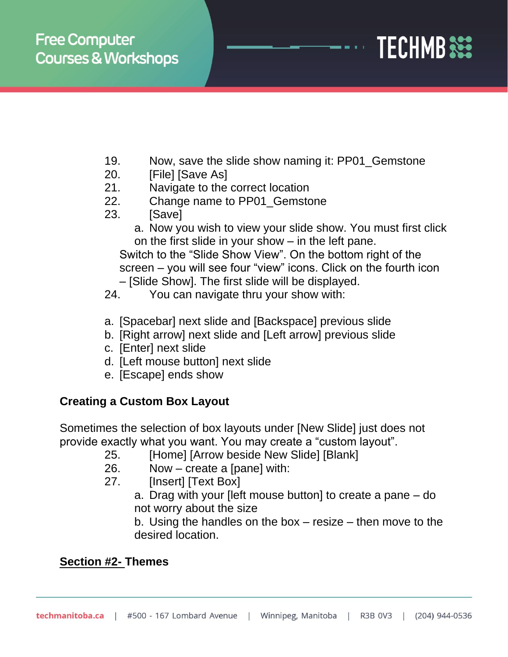

- 19. Now, save the slide show naming it: PP01\_Gemstone
- 20. **[File]** [Save As]
- 21. Navigate to the correct location
- 22. Change name to PP01\_Gemstone
- 23. [Save]

a. Now you wish to view your slide show. You must first click on the first slide in your show – in the left pane.

Switch to the "Slide Show View". On the bottom right of the screen – you will see four "view" icons. Click on the fourth icon

- [Slide Show]. The first slide will be displayed.
- 24. You can navigate thru your show with:
- a. [Spacebar] next slide and [Backspace] previous slide
- b. [Right arrow] next slide and [Left arrow] previous slide
- c. [Enter] next slide
- d. [Left mouse button] next slide
- e. [Escape] ends show

### **Creating a Custom Box Layout**

Sometimes the selection of box layouts under [New Slide] just does not provide exactly what you want. You may create a "custom layout".

- 25. [Home] [Arrow beside New Slide] [Blank]
- 26. Now create a [pane] with:
- 27. [Insert] [Text Box]
	- a. Drag with your [left mouse button] to create a pane do not worry about the size

b. Using the handles on the box – resize – then move to the desired location.

### **Section #2- Themes**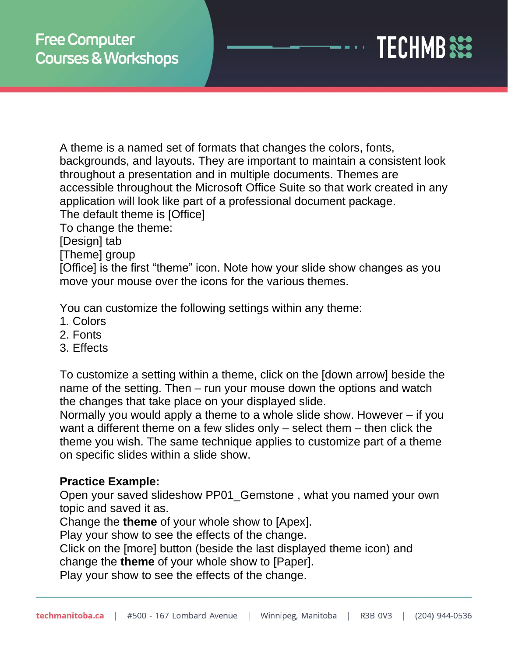

A theme is a named set of formats that changes the colors, fonts, backgrounds, and layouts. They are important to maintain a consistent look throughout a presentation and in multiple documents. Themes are accessible throughout the Microsoft Office Suite so that work created in any application will look like part of a professional document package.

The default theme is [Office]

To change the theme:

[Design] tab

[Theme] group

[Office] is the first "theme" icon. Note how your slide show changes as you move your mouse over the icons for the various themes.

You can customize the following settings within any theme:

- 1. Colors
- 2. Fonts
- 3. Effects

To customize a setting within a theme, click on the [down arrow] beside the name of the setting. Then – run your mouse down the options and watch the changes that take place on your displayed slide.

Normally you would apply a theme to a whole slide show. However – if you want a different theme on a few slides only – select them – then click the theme you wish. The same technique applies to customize part of a theme on specific slides within a slide show.

### **Practice Example:**

Open your saved slideshow PP01\_Gemstone , what you named your own topic and saved it as.

Change the **theme** of your whole show to [Apex].

Play your show to see the effects of the change.

Click on the [more] button (beside the last displayed theme icon) and change the **theme** of your whole show to [Paper].

Play your show to see the effects of the change.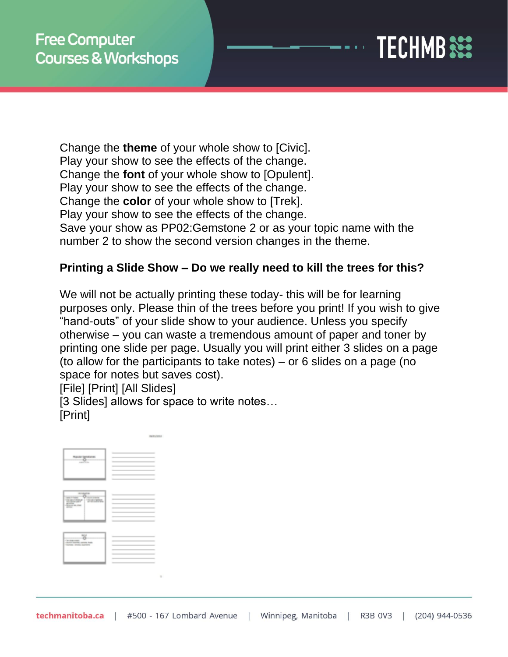

Change the **theme** of your whole show to [Civic]. Play your show to see the effects of the change. Change the **font** of your whole show to [Opulent]. Play your show to see the effects of the change. Change the **color** of your whole show to [Trek]. Play your show to see the effects of the change. Save your show as PP02:Gemstone 2 or as your topic name with the number 2 to show the second version changes in the theme.

### **Printing a Slide Show – Do we really need to kill the trees for this?**

We will not be actually printing these today- this will be for learning purposes only. Please thin of the trees before you print! If you wish to give "hand-outs" of your slide show to your audience. Unless you specify otherwise – you can waste a tremendous amount of paper and toner by printing one slide per page. Usually you will print either 3 slides on a page (to allow for the participants to take notes) – or 6 slides on a page (no space for notes but saves cost).

[File] [Print] [All Slides]

[3 Slides] allows for space to write notes... [Print]

| <b><i><u>Rakular Genetians</u></i></b>                                                                                                                                                                                                                                                                                                                                                                                                                                                                                                                                    | $\frac{1}{2} \left( \frac{1}{2} \right) \left( \frac{1}{2} \right) \left( \frac{1}{2} \right) \left( \frac{1}{2} \right) \left( \frac{1}{2} \right) \left( \frac{1}{2} \right) \left( \frac{1}{2} \right) \left( \frac{1}{2} \right) \left( \frac{1}{2} \right) \left( \frac{1}{2} \right) \left( \frac{1}{2} \right) \left( \frac{1}{2} \right) \left( \frac{1}{2} \right) \left( \frac{1}{2} \right) \left( \frac{1}{2} \right) \left( \frac{1}{2} \right) \left( \frac$<br>÷<br>____                                                                                                                                                                                                                                                                                                                                                                                                                                                                                                                         |
|---------------------------------------------------------------------------------------------------------------------------------------------------------------------------------------------------------------------------------------------------------------------------------------------------------------------------------------------------------------------------------------------------------------------------------------------------------------------------------------------------------------------------------------------------------------------------|-----------------------------------------------------------------------------------------------------------------------------------------------------------------------------------------------------------------------------------------------------------------------------------------------------------------------------------------------------------------------------------------------------------------------------------------------------------------------------------------------------------------------------------------------------------------------------------------------------------------------------------------------------------------------------------------------------------------------------------------------------------------------------------------------------------------------------------------------------------------------------------------------------------------------------------------------------------------------------------------------------------------|
| $\frac{1}{2}$                                                                                                                                                                                                                                                                                                                                                                                                                                                                                                                                                             | $\frac{1}{2} \left( \frac{1}{2} \right) \left( \frac{1}{2} \right) \left( \frac{1}{2} \right) \left( \frac{1}{2} \right) \left( \frac{1}{2} \right) \left( \frac{1}{2} \right) \left( \frac{1}{2} \right) \left( \frac{1}{2} \right) \left( \frac{1}{2} \right) \left( \frac{1}{2} \right) \left( \frac{1}{2} \right) \left( \frac{1}{2} \right) \left( \frac{1}{2} \right) \left( \frac{1}{2} \right) \left( \frac{1}{2} \right) \left( \frac{1}{2} \right) \left( \frac$<br>--<br>$\frac{1}{2} \left( \frac{1}{2} \right) \left( \frac{1}{2} \right) \left( \frac{1}{2} \right) \left( \frac{1}{2} \right) \left( \frac{1}{2} \right) \left( \frac{1}{2} \right) \left( \frac{1}{2} \right) \left( \frac{1}{2} \right) \left( \frac{1}{2} \right) \left( \frac{1}{2} \right) \left( \frac{1}{2} \right) \left( \frac{1}{2} \right) \left( \frac{1}{2} \right) \left( \frac{1}{2} \right) \left( \frac{1}{2} \right) \left( \frac{1}{2} \right) \left( \frac$<br><b>Contract Contract Contract</b><br>__<br>__ |
| -----                                                                                                                                                                                                                                                                                                                                                                                                                                                                                                                                                                     | $\sim$<br>÷                                                                                                                                                                                                                                                                                                                                                                                                                                                                                                                                                                                                                                                                                                                                                                                                                                                                                                                                                                                                     |
| <b>SORATO MARK</b><br><b>Contractor</b><br><b>CONSUMER CREW</b><br>--<br><b>Braun as me</b><br>$\frac{1}{2} \left( \frac{1}{2} \right) \left( \frac{1}{2} \right) \left( \frac{1}{2} \right) \left( \frac{1}{2} \right) \left( \frac{1}{2} \right) \left( \frac{1}{2} \right) \left( \frac{1}{2} \right) \left( \frac{1}{2} \right) \left( \frac{1}{2} \right) \left( \frac{1}{2} \right) \left( \frac{1}{2} \right) \left( \frac{1}{2} \right) \left( \frac{1}{2} \right) \left( \frac{1}{2} \right) \left( \frac{1}{2} \right) \left( \frac{1}{2} \right) \left( \frac$ | ÷<br><b>STATISTICS</b><br>___<br>$\frac{1}{2}$<br>$\overline{\phantom{a}}$<br>$\frac{1}{2}$<br>__                                                                                                                                                                                                                                                                                                                                                                                                                                                                                                                                                                                                                                                                                                                                                                                                                                                                                                               |
|                                                                                                                                                                                                                                                                                                                                                                                                                                                                                                                                                                           | <b>STATISTICS</b><br>___<br>$\frac{1}{2}$<br>$\sim$                                                                                                                                                                                                                                                                                                                                                                                                                                                                                                                                                                                                                                                                                                                                                                                                                                                                                                                                                             |
| $rac{1}{2}$<br><b>SALES AND ARRANGEMENT</b><br>Such service current man-<br>Survey, streets expensive                                                                                                                                                                                                                                                                                                                                                                                                                                                                     | $\frac{1}{2} \left( \frac{1}{2} \right) \left( \frac{1}{2} \right) \left( \frac{1}{2} \right) \left( \frac{1}{2} \right) \left( \frac{1}{2} \right) \left( \frac{1}{2} \right) \left( \frac{1}{2} \right) \left( \frac{1}{2} \right) \left( \frac{1}{2} \right) \left( \frac{1}{2} \right) \left( \frac{1}{2} \right) \left( \frac{1}{2} \right) \left( \frac{1}{2} \right) \left( \frac{1}{2} \right) \left( \frac{1}{2} \right) \left( \frac{1}{2} \right) \left( \frac$<br>$\sim$<br>$\frac{1}{2}$<br>__<br>$\frac{1}{2}$<br>__<br>___                                                                                                                                                                                                                                                                                                                                                                                                                                                                       |
|                                                                                                                                                                                                                                                                                                                                                                                                                                                                                                                                                                           | $\frac{1}{2} \left( \frac{1}{2} \right) \left( \frac{1}{2} \right) \left( \frac{1}{2} \right) \left( \frac{1}{2} \right) \left( \frac{1}{2} \right) \left( \frac{1}{2} \right) \left( \frac{1}{2} \right) \left( \frac{1}{2} \right) \left( \frac{1}{2} \right) \left( \frac{1}{2} \right) \left( \frac{1}{2} \right) \left( \frac{1}{2} \right) \left( \frac{1}{2} \right) \left( \frac{1}{2} \right) \left( \frac{1}{2} \right) \left( \frac{1}{2} \right) \left( \frac$<br>__                                                                                                                                                                                                                                                                                                                                                                                                                                                                                                                                |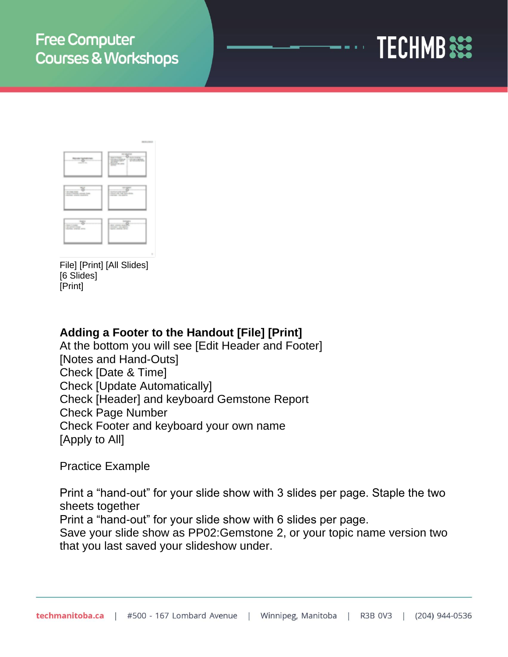



File] [Print] [All Slides] [6 Slides] [Print]

### **Adding a Footer to the Handout [File] [Print]**

At the bottom you will see [Edit Header and Footer] [Notes and Hand-Outs] Check [Date & Time] Check [Update Automatically] Check [Header] and keyboard Gemstone Report Check Page Number Check Footer and keyboard your own name [Apply to All]

Practice Example

Print a "hand-out" for your slide show with 3 slides per page. Staple the two sheets together Print a "hand-out" for your slide show with 6 slides per page.

Save your slide show as PP02:Gemstone 2, or your topic name version two that you last saved your slideshow under.